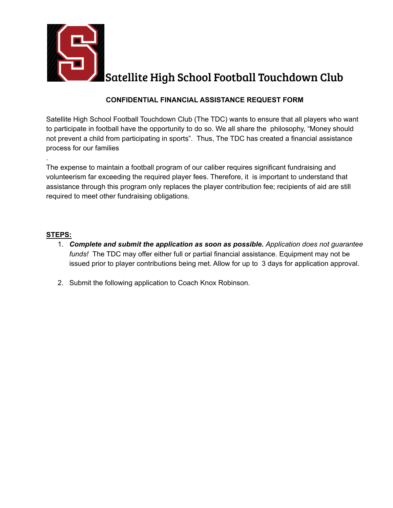

Satellite High School Football Touchdown Club

## **CONFIDENTIAL FINANCIAL ASSISTANCE REQUEST FORM**

Satellite High School Football Touchdown Club (The TDC) wants to ensure that all players who want to participate in football have the opportunity to do so. We all share the philosophy, "Money should not prevent a child from participating in sports". Thus, The TDC has created a financial assistance process for our families

The expense to maintain a football program of our caliber requires significant fundraising and volunteerism far exceeding the required player fees. Therefore, it is important to understand that assistance through this program only replaces the player contribution fee; recipients of aid are still required to meet other fundraising obligations.

## **STEPS:**

.

- 1. *Complete and submit the application as soon as possible. Application does not guarantee funds!* The TDC may offer either full or partial financial assistance. Equipment may not be issued prior to player contributions being met. Allow for up to 3 days for application approval.
- 2. Submit the following application to Coach Knox Robinson.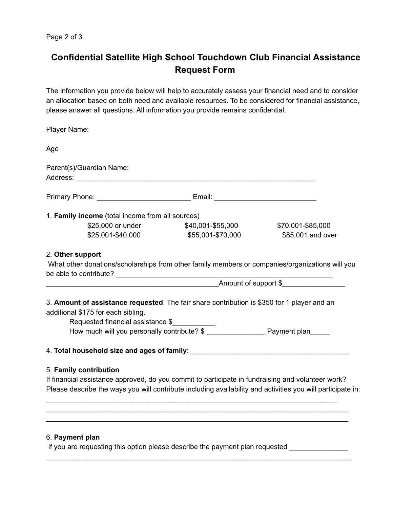## **Confidential Satellite High School Touchdown Club Financial Assistance Request Form**

The information you provide below will help to accurately assess your financial need and to consider an allocation based on both need and available resources. To be considered for financial assistance, please answer all questions. All information you provide remains confidential.

| Player Name:                                                                                                                                                                                                                   |                      |                   |
|--------------------------------------------------------------------------------------------------------------------------------------------------------------------------------------------------------------------------------|----------------------|-------------------|
| Age                                                                                                                                                                                                                            |                      |                   |
| Parent(s)/Guardian Name:                                                                                                                                                                                                       |                      |                   |
| Primary Phone: 1990 Contract Contract Contract Contract Contract Contract Contract Contract Contract Contract Contract Contract Contract Contract Contract Contract Contract Contract Contract Contract Contract Contract Cont |                      |                   |
| 1. Family income (total income from all sources)                                                                                                                                                                               |                      |                   |
| \$25,000 or under                                                                                                                                                                                                              | \$40,001-\$55,000    | \$70,001-\$85,000 |
| \$25,001-\$40,000                                                                                                                                                                                                              | \$55,001-\$70,000    | \$85,001 and over |
| 2. Other support<br>What other donations/scholarships from other family members or companies/organizations will you<br>be able to contribute?                                                                                  |                      |                   |
|                                                                                                                                                                                                                                | Amount of support \$ |                   |
| 3. Amount of assistance requested. The fair share contribution is \$350 for 1 player and an<br>additional \$175 for each sibling.                                                                                              |                      |                   |
| Requested financial assistance \$                                                                                                                                                                                              |                      |                   |
|                                                                                                                                                                                                                                |                      |                   |
| 5. Family contribution                                                                                                                                                                                                         |                      |                   |
| If financial assistance approved, do you commit to participate in fundraising and volunteer work?                                                                                                                              |                      |                   |
| Please describe the ways you will contribute including availability and activities you will participate in:                                                                                                                    |                      |                   |
|                                                                                                                                                                                                                                |                      |                   |
|                                                                                                                                                                                                                                |                      |                   |
| 6. Payment plan                                                                                                                                                                                                                |                      |                   |

If you are requesting this option please describe the payment plan requested \_\_\_\_\_\_\_\_\_\_\_\_\_\_

\_\_\_\_\_\_\_\_\_\_\_\_\_\_\_\_\_\_\_\_\_\_\_\_\_\_\_\_\_\_\_\_\_\_\_\_\_\_\_\_\_\_\_\_\_\_\_\_\_\_\_\_\_\_\_\_\_\_\_\_\_\_\_\_\_\_\_\_\_\_\_\_\_\_\_\_\_\_